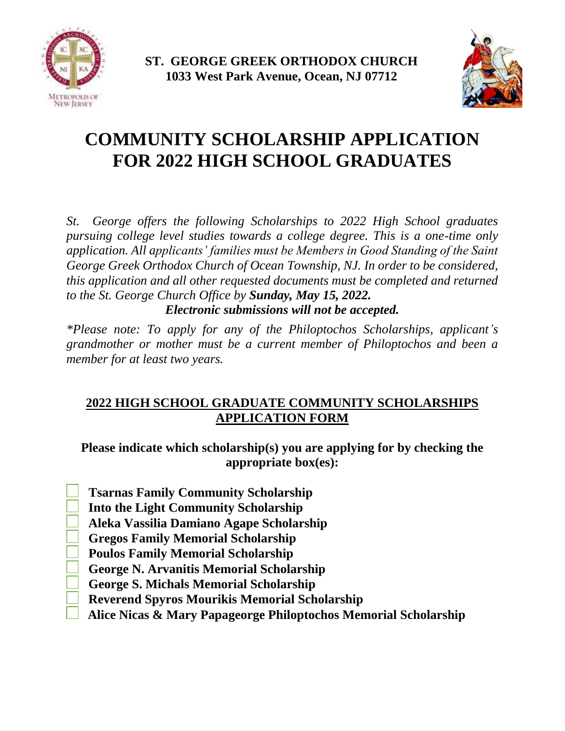



# **COMMUNITY SCHOLARSHIP APPLICATION FOR 2022 HIGH SCHOOL GRADUATES**

*St. George offers the following Scholarships to 2022 High School graduates pursuing college level studies towards a college degree. This is a one-time only application. All applicants' families must be Members in Good Standing of the Saint George Greek Orthodox Church of Ocean Township, NJ. In order to be considered, this application and all other requested documents must be completed and returned to the St. George Church Office by Sunday, May 15, 2022.*

*Electronic submissions will not be accepted.*

*\*Please note: To apply for any of the Philoptochos Scholarships, applicant's grandmother or mother must be a current member of Philoptochos and been a member for at least two years.* 

# **2022 HIGH SCHOOL GRADUATE COMMUNITY SCHOLARSHIPS APPLICATION FORM**

**Please indicate which scholarship(s) you are applying for by checking the appropriate box(es):**

 **Tsarnas Family Community Scholarship**

 **Into the Light Community Scholarship**

 **Aleka Vassilia Damiano Agape Scholarship**

- **Gregos Family Memorial Scholarship**
- **Poulos Family Memorial Scholarship**
- **George N. Arvanitis Memorial Scholarship**
- **George S. Michals Memorial Scholarship**
	- **Reverend Spyros Mourikis Memorial Scholarship**
	- **Alice Nicas & Mary Papageorge Philoptochos Memorial Scholarship**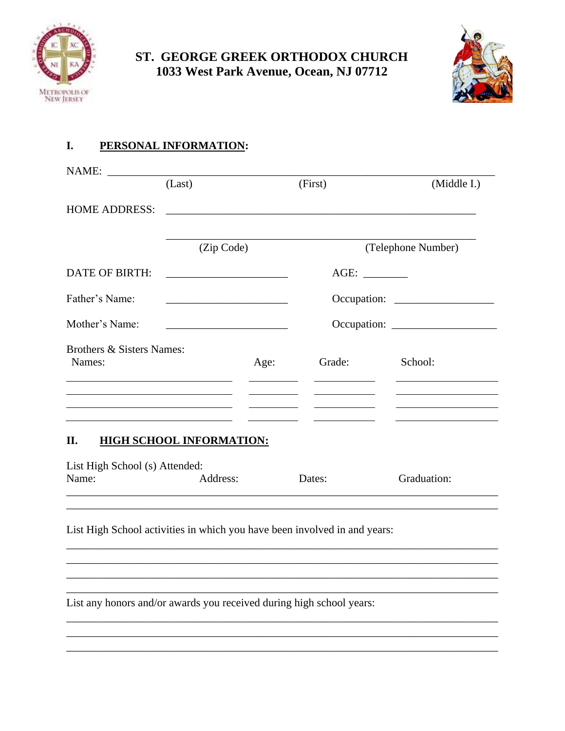



#### PERSONAL INFORMATION: I.

|                                         | (Last)                                                                                                                  |      | (First)                                                                                                                                                                                                                              | (Middle I.)                                                                                                                               |
|-----------------------------------------|-------------------------------------------------------------------------------------------------------------------------|------|--------------------------------------------------------------------------------------------------------------------------------------------------------------------------------------------------------------------------------------|-------------------------------------------------------------------------------------------------------------------------------------------|
| <b>HOME ADDRESS:</b>                    |                                                                                                                         |      | <u>and the control of the control of the control of the control of the control of the control of the control of the control of the control of the control of the control of the control of the control of the control of the con</u> |                                                                                                                                           |
|                                         | (Zip Code)                                                                                                              |      |                                                                                                                                                                                                                                      | (Telephone Number)                                                                                                                        |
| <b>DATE OF BIRTH:</b>                   |                                                                                                                         |      | AGE: ________                                                                                                                                                                                                                        |                                                                                                                                           |
| Father's Name:                          | the control of the control of the control of the control of the control of the control of                               |      |                                                                                                                                                                                                                                      |                                                                                                                                           |
| Mother's Name:                          |                                                                                                                         |      |                                                                                                                                                                                                                                      |                                                                                                                                           |
| Brothers & Sisters Names:<br>Names:     |                                                                                                                         | Age: | Grade:                                                                                                                                                                                                                               | School:                                                                                                                                   |
|                                         | the control of the control of the control of the control of the control of the control of the control of the control of |      |                                                                                                                                                                                                                                      | the control of the control of the control of the control of<br>the control of the control of the control of the control of the control of |
| II.                                     | <b>HIGH SCHOOL INFORMATION:</b>                                                                                         |      |                                                                                                                                                                                                                                      |                                                                                                                                           |
| List High School (s) Attended:<br>Name: | Address:                                                                                                                |      | Dates:                                                                                                                                                                                                                               | Graduation:                                                                                                                               |

List High School activities in which you have been involved in and years:

List any honors and/or awards you received during high school years: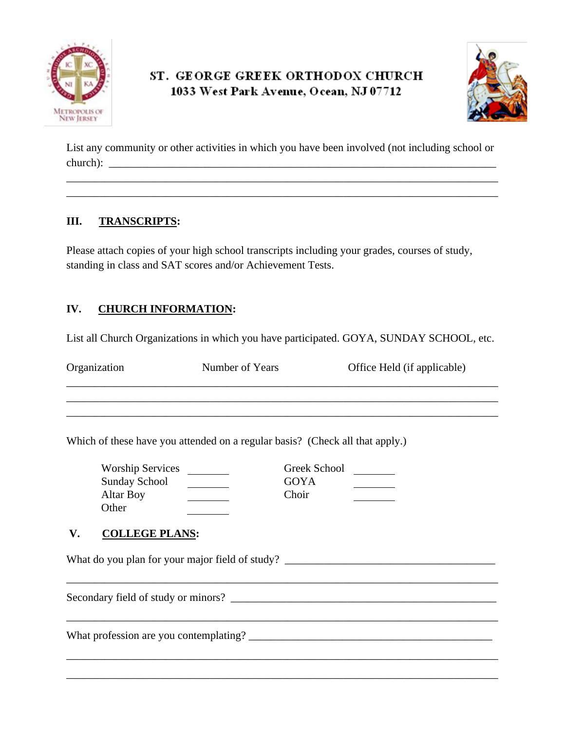



List any community or other activities in which you have been involved (not including school or church):

\_\_\_\_\_\_\_\_\_\_\_\_\_\_\_\_\_\_\_\_\_\_\_\_\_\_\_\_\_\_\_\_\_\_\_\_\_\_\_\_\_\_\_\_\_\_\_\_\_\_\_\_\_\_\_\_\_\_\_\_\_\_\_\_\_\_\_\_\_\_\_\_\_\_\_\_\_\_ \_\_\_\_\_\_\_\_\_\_\_\_\_\_\_\_\_\_\_\_\_\_\_\_\_\_\_\_\_\_\_\_\_\_\_\_\_\_\_\_\_\_\_\_\_\_\_\_\_\_\_\_\_\_\_\_\_\_\_\_\_\_\_\_\_\_\_\_\_\_\_\_\_\_\_\_\_\_

#### **III. TRANSCRIPTS:**

Please attach copies of your high school transcripts including your grades, courses of study, standing in class and SAT scores and/or Achievement Tests.

### **IV. CHURCH INFORMATION:**

List all Church Organizations in which you have participated. GOYA, SUNDAY SCHOOL, etc.

| Organization | Number of Years | Office Held (if applicable) |
|--------------|-----------------|-----------------------------|
|              |                 |                             |

Which of these have you attended on a regular basis? (Check all that apply.)

| <b>Worship Services</b> | Greek School |  |
|-------------------------|--------------|--|
| <b>Sunday School</b>    | GOYA         |  |
| Altar Boy               | Choir        |  |
| Other                   |              |  |

### **V. COLLEGE PLANS:**

What do you plan for your major field of study? \_\_\_\_\_\_\_\_\_\_\_\_\_\_\_\_\_\_\_\_\_\_\_\_\_\_\_\_\_\_\_\_\_

Secondary field of study or minors?

What profession are you contemplating? \_\_\_\_\_\_\_\_\_\_\_\_\_\_\_\_\_\_\_\_\_\_\_\_\_\_\_\_\_\_\_\_\_\_\_\_\_\_\_\_\_\_\_\_

\_\_\_\_\_\_\_\_\_\_\_\_\_\_\_\_\_\_\_\_\_\_\_\_\_\_\_\_\_\_\_\_\_\_\_\_\_\_\_\_\_\_\_\_\_\_\_\_\_\_\_\_\_\_\_\_\_\_\_\_\_\_\_\_\_\_\_\_\_\_\_\_\_\_\_\_\_\_

\_\_\_\_\_\_\_\_\_\_\_\_\_\_\_\_\_\_\_\_\_\_\_\_\_\_\_\_\_\_\_\_\_\_\_\_\_\_\_\_\_\_\_\_\_\_\_\_\_\_\_\_\_\_\_\_\_\_\_\_\_\_\_\_\_\_\_\_\_\_\_\_\_\_\_\_\_\_

\_\_\_\_\_\_\_\_\_\_\_\_\_\_\_\_\_\_\_\_\_\_\_\_\_\_\_\_\_\_\_\_\_\_\_\_\_\_\_\_\_\_\_\_\_\_\_\_\_\_\_\_\_\_\_\_\_\_\_\_\_\_\_\_\_\_\_\_\_\_\_\_\_\_\_\_\_\_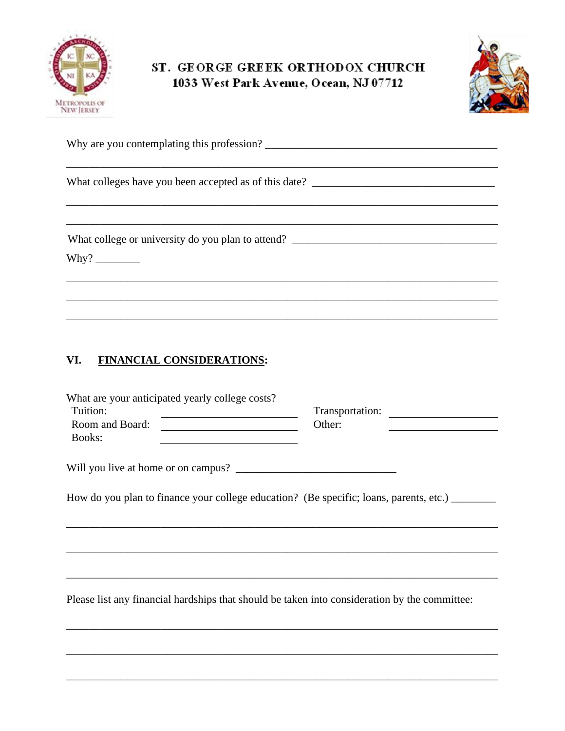



| Why are you contemplating this profession? |  |
|--------------------------------------------|--|
|                                            |  |

What college or university do you plan to attend? \_\_\_\_\_\_\_\_\_\_\_\_\_\_\_\_\_\_\_\_\_\_\_\_\_\_\_\_\_\_\_

Why?  $\frac{1}{\sqrt{1-\frac{1}{2}}\sqrt{1-\frac{1}{2}}\left(\frac{1}{2}-\frac{1}{2}\right)}$ 

#### **FINANCIAL CONSIDERATIONS:** VI.

| What are your anticipated yearly college costs? |                 |  |
|-------------------------------------------------|-----------------|--|
| Tuition:                                        | Transportation: |  |
| Room and Board:                                 | Other:          |  |
| <b>Books:</b>                                   |                 |  |
|                                                 |                 |  |

How do you plan to finance your college education? (Be specific; loans, parents, etc.) \_\_\_\_\_\_\_

Please list any financial hardships that should be taken into consideration by the committee: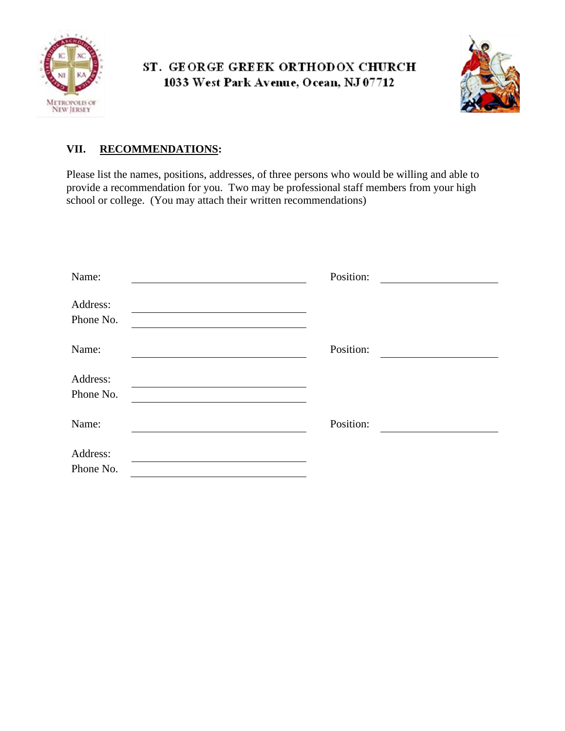



### **VII. RECOMMENDATIONS:**

Please list the names, positions, addresses, of three persons who would be willing and able to provide a recommendation for you. Two may be professional staff members from your high school or college. (You may attach their written recommendations)

| Name:     | Position: |
|-----------|-----------|
| Address:  |           |
| Phone No. |           |
| Name:     | Position: |
| Address:  |           |
| Phone No. |           |
| Name:     | Position: |
| Address:  |           |
| Phone No. |           |